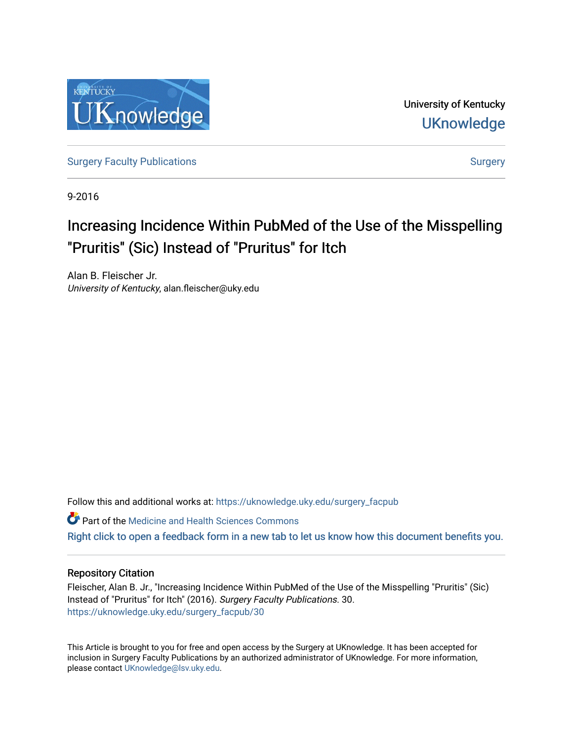

University of Kentucky **UKnowledge** 

[Surgery Faculty Publications](https://uknowledge.uky.edu/surgery_facpub) and the state of the [Surgery](https://uknowledge.uky.edu/surgery) Surgery

9-2016

# Increasing Incidence Within PubMed of the Use of the Misspelling "Pruritis" (Sic) Instead of "Pruritus" for Itch

Alan B. Fleischer Jr. University of Kentucky, alan.fleischer@uky.edu

Follow this and additional works at: [https://uknowledge.uky.edu/surgery\\_facpub](https://uknowledge.uky.edu/surgery_facpub?utm_source=uknowledge.uky.edu%2Fsurgery_facpub%2F30&utm_medium=PDF&utm_campaign=PDFCoverPages) 

**Part of the Medicine and Health Sciences Commons** 

[Right click to open a feedback form in a new tab to let us know how this document benefits you.](https://uky.az1.qualtrics.com/jfe/form/SV_9mq8fx2GnONRfz7)

## Repository Citation

Fleischer, Alan B. Jr., "Increasing Incidence Within PubMed of the Use of the Misspelling "Pruritis" (Sic) Instead of "Pruritus" for Itch" (2016). Surgery Faculty Publications. 30. [https://uknowledge.uky.edu/surgery\\_facpub/30](https://uknowledge.uky.edu/surgery_facpub/30?utm_source=uknowledge.uky.edu%2Fsurgery_facpub%2F30&utm_medium=PDF&utm_campaign=PDFCoverPages)

This Article is brought to you for free and open access by the Surgery at UKnowledge. It has been accepted for inclusion in Surgery Faculty Publications by an authorized administrator of UKnowledge. For more information, please contact [UKnowledge@lsv.uky.edu.](mailto:UKnowledge@lsv.uky.edu)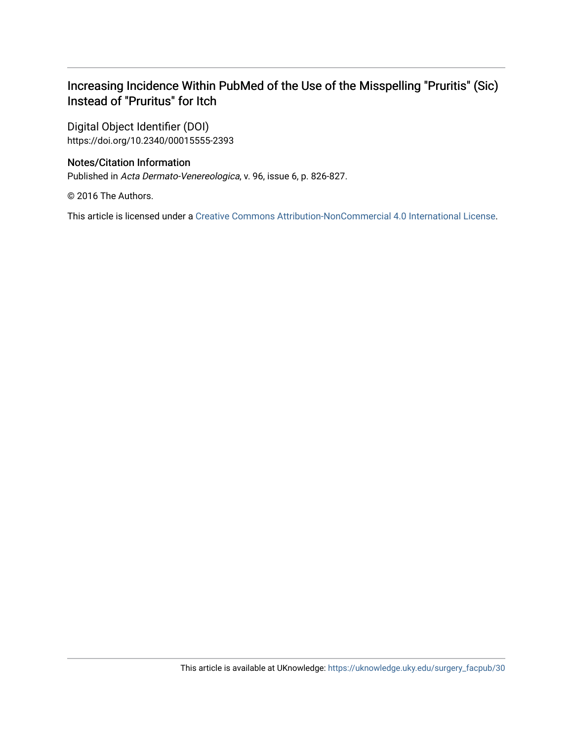# Increasing Incidence Within PubMed of the Use of the Misspelling "Pruritis" (Sic) Instead of "Pruritus" for Itch

Digital Object Identifier (DOI) https://doi.org/10.2340/00015555-2393

# Notes/Citation Information

Published in Acta Dermato-Venereologica, v. 96, issue 6, p. 826-827.

© 2016 The Authors.

This article is licensed under a [Creative Commons Attribution-NonCommercial 4.0 International License.](https://creativecommons.org/licenses/by-nc/4.0/)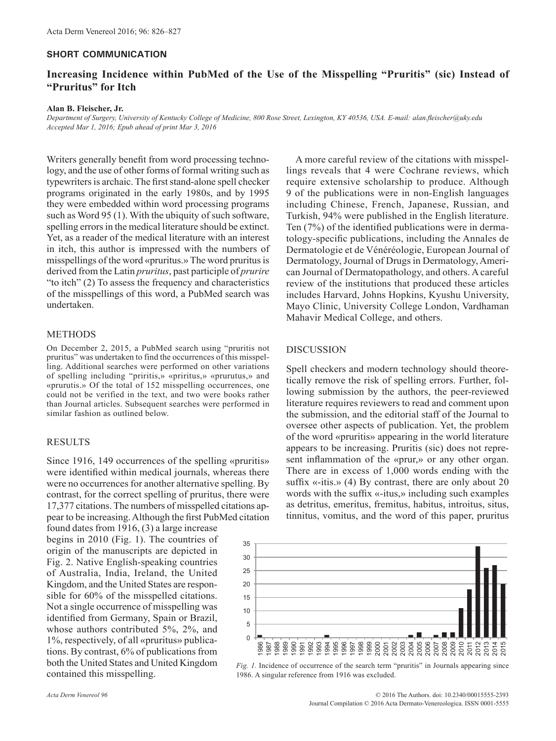#### **SHORT COMMUNICATION**

### **Increasing Incidence within PubMed of the Use of the Misspelling "Pruritis" (sic) Instead of "Pruritus" for Itch**

#### **Alan B. Fleischer, Jr.**

*Department of Surgery, University of Kentucky College of Medicine, 800 Rose Street, Lexington, KY 40536, USA. E-mail: alan.fleischer@uky.edu Accepted Mar 1, 2016; Epub ahead of print Mar 3, 2016*

Writers generally benefit from word processing technology, and the use of other forms of formal writing such as typewriters is archaic. The first stand-alone spell checker programs originated in the early 1980s, and by 1995 they were embedded within word processing programs such as Word 95 (1). With the ubiquity of such software, spelling errors in the medical literature should be extinct. Yet, as a reader of the medical literature with an interest in itch, this author is impressed with the numbers of misspellings of the word «pruritus.» The word pruritus is derived from the Latin *pruritus*, past participle of *prurire* "to itch" (2) To assess the frequency and characteristics of the misspellings of this word, a PubMed search was undertaken.

#### METHODS

On December 2, 2015, a PubMed search using "pruritis not pruritus" was undertaken to find the occurrences of this misspelling. Additional searches were performed on other variations of spelling including "priritis,» «priritus,» «prurutus,» and «prurutis.» Of the total of 152 misspelling occurrences, one could not be verified in the text, and two were books rather than Journal articles. Subsequent searches were performed in similar fashion as outlined below.

#### **RESULTS**

Since 1916, 149 occurrences of the spelling «pruritis» were identified within medical journals, whereas there were no occurrences for another alternative spelling. By contrast, for the correct spelling of pruritus, there were 17,377 citations. The numbers of misspelled citations appear to be increasing. Although the first PubMed citation

found dates from 1916, (3) a large increase begins in 2010 (Fig. 1). The countries of origin of the manuscripts are depicted in Fig. 2. Native English-speaking countries of Australia, India, Ireland, the United Kingdom, and the United States are responsible for 60% of the misspelled citations. Not a single occurrence of misspelling was identified from Germany, Spain or Brazil, whose authors contributed 5%, 2%, and 1%, respectively, of all «pruritus» publications. By contrast, 6% of publications from both the United States and United Kingdom contained this misspelling.

A more careful review of the citations with misspellings reveals that 4 were Cochrane reviews, which require extensive scholarship to produce. Although 9 of the publications were in non-English languages including Chinese, French, Japanese, Russian, and Turkish, 94% were published in the English literature. Ten (7%) of the identified publications were in dermatology-specific publications, including the Annales de Dermatologie et de Vénéréologie, European Journal of Dermatology, Journal of Drugs in Dermatology, American Journal of Dermatopathology, and others. A careful review of the institutions that produced these articles includes Harvard, Johns Hopkins, Kyushu University, Mayo Clinic, University College London, Vardhaman Mahavir Medical College, and others.

#### **DISCUSSION**

Spell checkers and modern technology should theoretically remove the risk of spelling errors. Further, following submission by the authors, the peer-reviewed literature requires reviewers to read and comment upon the submission, and the editorial staff of the Journal to oversee other aspects of publication. Yet, the problem of the word «pruritis» appearing in the world literature appears to be increasing. Pruritis (sic) does not represent inflammation of the «prur,» or any other organ. There are in excess of 1,000 words ending with the suffix  $\ll$ -itis.» (4) By contrast, there are only about 20 words with the suffix «-itus,» including such examples as detritus, emeritus, fremitus, habitus, introitus, situs, tinnitus, vomitus, and the word of this paper, pruritus



*Fig. 1.* Incidence of occurrence of the search term "pruritis" in Journals appearing since 1986. A singular reference from 1916 was excluded.